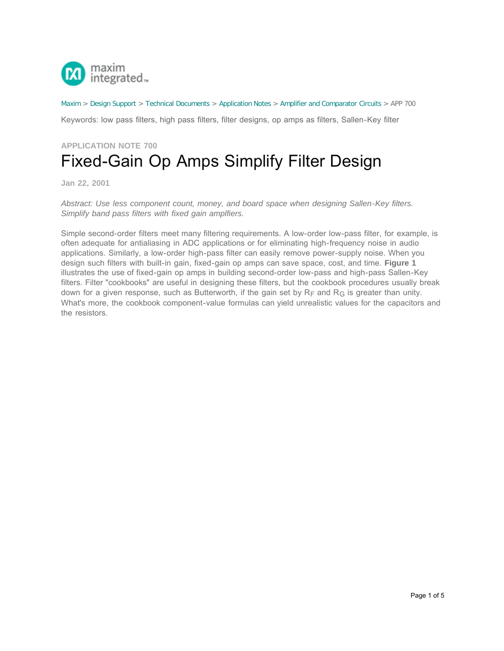

[Maxim](http://www.maximintegrated.com/) > [Design Support](http://www.maximintegrated.com/design/) > [Technical Documents](http://www.maximintegrated.com/design/techdocs/) > [Application Notes](http://www.maximintegrated.com/design/techdocs/app-notes/index.mvp) > [Amplifier and Comparator Circuits](http://www.maximintegrated.com/design/techdocs/app-notes/index.mvp/id/3/c/Amplifier%20and%20Comparator%20Circuits#c3) > APP 700

Keywords: low pass filters, high pass filters, filter designs, op amps as filters, Sallen-Key filter

## **APPLICATION NOTE 700** Fixed-Gain Op Amps Simplify Filter Design

**Jan 22, 2001**

*Abstract: Use less component count, money, and board space when designing Sallen-Key filters. Simplify band pass filters with fixed gain amplfiers.*

Simple second-order filters meet many filtering requirements. A low-order low-pass filter, for example, is often adequate for antialiasing in ADC applications or for eliminating high-frequency noise in audio applications. Similarly, a low-order high-pass filter can easily remove power-supply noise. When you design such filters with built-in gain, fixed-gain op amps can save space, cost, and time. **Figure 1** illustrates the use of fixed-gain op amps in building second-order low-pass and high-pass Sallen-Key filters. Filter "cookbooks" are useful in designing these filters, but the cookbook procedures usually break down for a given response, such as Butterworth, if the gain set by  $R_F$  and  $R_G$  is greater than unity. What's more, the cookbook component-value formulas can yield unrealistic values for the capacitors and the resistors.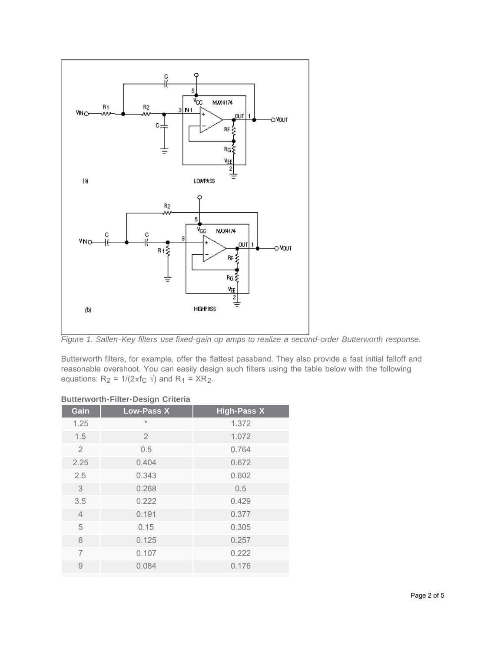

*Figure 1. Sallen-Key filters use fixed-gain op amps to realize a second-order Butterworth response.*

Butterworth filters, for example, offer the flattest passband. They also provide a fast initial falloff and reasonable overshoot. You can easily design such filters using the table below with the following equations:  $R_2 = 1/(2\pi f_C \sqrt{2})$  and  $R_1 = XR_2$ .

## **Butterworth-Filter-Design Criteria**

| Gain           | <b>Low-Pass X</b> | <b>High-Pass X</b> |
|----------------|-------------------|--------------------|
| 1.25           | $\star$           | 1.372              |
| 1.5            | $\overline{2}$    | 1.072              |
| $\overline{2}$ | 0.5               | 0.764              |
| 2.25           | 0.404             | 0.672              |
| 2.5            | 0.343             | 0.602              |
| $\mathcal{S}$  | 0.268             | 0.5                |
| 3.5            | 0.222             | 0.429              |
| $\overline{4}$ | 0.191             | 0.377              |
| 5              | 0.15              | 0.305              |
| 6              | 0.125             | 0.257              |
| $\overline{7}$ | 0.107             | 0.222              |
| $\overline{9}$ | 0.084             | 0.176              |
|                |                   |                    |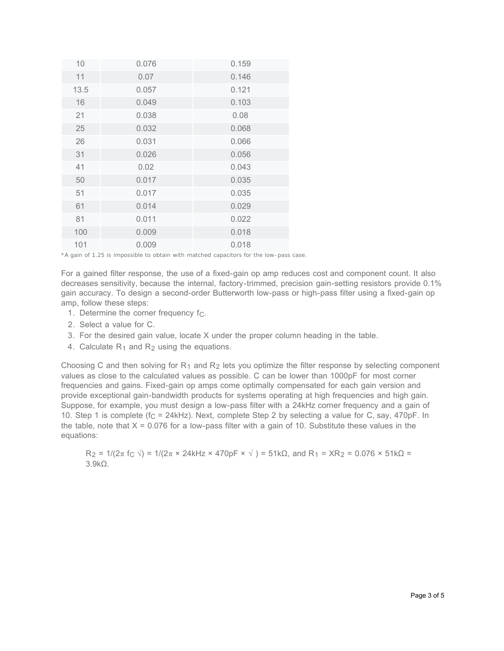| 10   | 0.076 | 0.159 |
|------|-------|-------|
| 11   | 0.07  | 0.146 |
| 13.5 | 0.057 | 0.121 |
| 16   | 0.049 | 0.103 |
| 21   | 0.038 | 0.08  |
| 25   | 0.032 | 0.068 |
| 26   | 0.031 | 0.066 |
| 31   | 0.026 | 0.056 |
| 41   | 0.02  | 0.043 |
| 50   | 0.017 | 0.035 |
| 51   | 0.017 | 0.035 |
| 61   | 0.014 | 0.029 |
| 81   | 0.011 | 0.022 |
| 100  | 0.009 | 0.018 |
| 101  | 0.009 | 0.018 |

<sup>\*</sup>A gain of 1.25 is impossible to obtain with matched capacitors for the low-pass case.

For a gained filter response, the use of a fixed-gain op amp reduces cost and component count. It also decreases sensitivity, because the internal, factory-trimmed, precision gain-setting resistors provide 0.1% gain accuracy. To design a second-order Butterworth low-pass or high-pass filter using a fixed-gain op amp, follow these steps:

- 1. Determine the corner frequency  $f_C$ .
- 2. Select a value for C.
- 3. For the desired gain value, locate X under the proper column heading in the table.
- 4. Calculate  $R_1$  and  $R_2$  using the equations.

Choosing C and then solving for  $R_1$  and  $R_2$  lets you optimize the filter response by selecting component values as close to the calculated values as possible. C can be lower than 1000pF for most corner frequencies and gains. Fixed-gain op amps come optimally compensated for each gain version and provide exceptional gain-bandwidth products for systems operating at high frequencies and high gain. Suppose, for example, you must design a low-pass filter with a 24kHz corner frequency and a gain of 10. Step 1 is complete ( $f_C = 24kHz$ ). Next, complete Step 2 by selecting a value for C, say, 470pF. In the table, note that  $X = 0.076$  for a low-pass filter with a gain of 10. Substitute these values in the equations:

 $R_2 = 1/(2π f_C) = 1/(2π × 24kHz × 470pF × 1) = 51kΩ$ , and  $R_1 = XR_2 = 0.076 × 51kΩ = 1/2π f_C$ 3.9kΩ.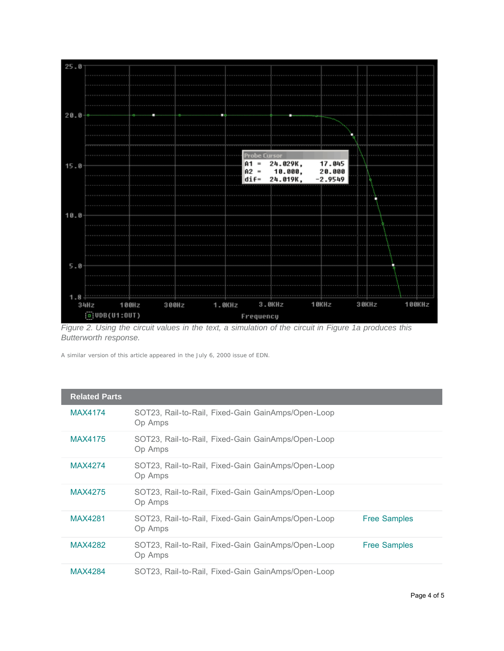

*Figure 2. Using the circuit values in the text, a simulation of the circuit in Figure 1a produces this Butterworth response.*

A similar version of this article appeared in the July 6, 2000 issue of *EDN.*

| <b>Related Parts</b> |                                                               |                     |
|----------------------|---------------------------------------------------------------|---------------------|
| <b>MAX4174</b>       | SOT23, Rail-to-Rail, Fixed-Gain GainAmps/Open-Loop<br>Op Amps |                     |
| <b>MAX4175</b>       | SOT23, Rail-to-Rail, Fixed-Gain GainAmps/Open-Loop<br>Op Amps |                     |
| <b>MAX4274</b>       | SOT23, Rail-to-Rail, Fixed-Gain GainAmps/Open-Loop<br>Op Amps |                     |
| <b>MAX4275</b>       | SOT23, Rail-to-Rail, Fixed-Gain GainAmps/Open-Loop<br>Op Amps |                     |
| <b>MAX4281</b>       | SOT23, Rail-to-Rail, Fixed-Gain GainAmps/Open-Loop<br>Op Amps | <b>Free Samples</b> |
| MAX4282              | SOT23, Rail-to-Rail, Fixed-Gain GainAmps/Open-Loop<br>Op Amps | <b>Free Samples</b> |
| <b>MAX4284</b>       | SOT23, Rail-to-Rail, Fixed-Gain GainAmps/Open-Loop            |                     |